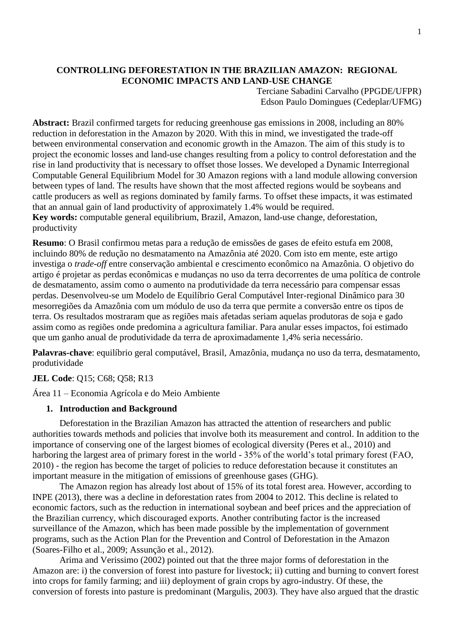# **CONTROLLING DEFORESTATION IN THE BRAZILIAN AMAZON: REGIONAL ECONOMIC IMPACTS AND LAND-USE CHANGE**

Terciane Sabadini Carvalho (PPGDE/UFPR) Edson Paulo Domingues (Cedeplar/UFMG)

**Abstract:** Brazil confirmed targets for reducing greenhouse gas emissions in 2008, including an 80% reduction in deforestation in the Amazon by 2020. With this in mind, we investigated the trade-off between environmental conservation and economic growth in the Amazon. The aim of this study is to project the economic losses and land-use changes resulting from a policy to control deforestation and the rise in land productivity that is necessary to offset those losses. We developed a Dynamic Interregional Computable General Equilibrium Model for 30 Amazon regions with a land module allowing conversion between types of land. The results have shown that the most affected regions would be soybeans and cattle producers as well as regions dominated by family farms. To offset these impacts, it was estimated that an annual gain of land productivity of approximately 1.4% would be required. **Key words:** computable general equilibrium, Brazil, Amazon, land-use change, deforestation, productivity

**Resumo**: O Brasil confirmou metas para a redução de emissões de gases de efeito estufa em 2008, incluindo 80% de redução no desmatamento na Amazônia até 2020. Com isto em mente, este artigo investiga o *trade-off* entre conservação ambiental e crescimento econômico na Amazônia. O objetivo do artigo é projetar as perdas econômicas e mudanças no uso da terra decorrentes de uma política de controle de desmatamento, assim como o aumento na produtividade da terra necessário para compensar essas perdas. Desenvolveu-se um Modelo de Equilíbrio Geral Computável Inter-regional Dinâmico para 30 mesorregiões da Amazônia com um módulo de uso da terra que permite a conversão entre os tipos de terra. Os resultados mostraram que as regiões mais afetadas seriam aquelas produtoras de soja e gado assim como as regiões onde predomina a agricultura familiar. Para anular esses impactos, foi estimado que um ganho anual de produtividade da terra de aproximadamente 1,4% seria necessário.

**Palavras-chave**: equilíbrio geral computável, Brasil, Amazônia, mudança no uso da terra, desmatamento, produtividade

### **JEL Code**: Q15; C68; Q58; R13

Área 11 – Economia Agrícola e do Meio Ambiente

### **1. Introduction and Background**

Deforestation in the Brazilian Amazon has attracted the attention of researchers and public authorities towards methods and policies that involve both its measurement and control. In addition to the importance of conserving one of the largest biomes of ecological diversity (Peres et al., 2010) and harboring the largest area of primary forest in the world - 35% of the world's total primary forest (FAO, 2010) - the region has become the target of policies to reduce deforestation because it constitutes an important measure in the mitigation of emissions of greenhouse gases (GHG).

The Amazon region has already lost about of 15% of its total forest area. However, according to INPE (2013), there was a decline in deforestation rates from 2004 to 2012. This decline is related to economic factors, such as the reduction in international soybean and beef prices and the appreciation of the Brazilian currency, which discouraged exports. Another contributing factor is the increased surveillance of the Amazon, which has been made possible by the implementation of government programs, such as the Action Plan for the Prevention and Control of Deforestation in the Amazon (Soares-Filho et al., 2009; Assunção et al., 2012).

Arima and Verissimo (2002) pointed out that the three major forms of deforestation in the Amazon are: i) the conversion of forest into pasture for livestock; ii) cutting and burning to convert forest into crops for family farming; and iii) deployment of grain crops by agro-industry. Of these, the conversion of forests into pasture is predominant (Margulis, 2003). They have also argued that the drastic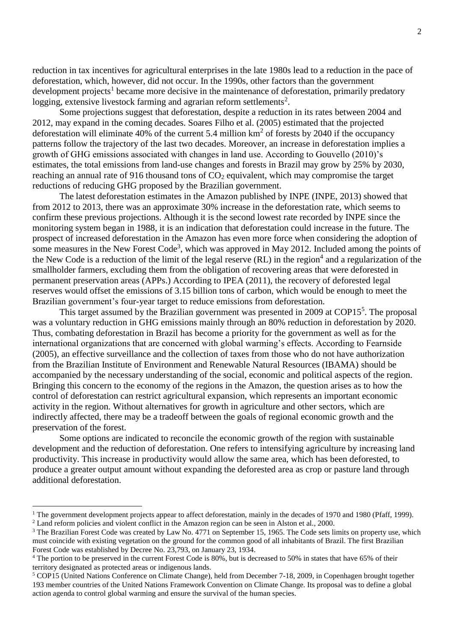reduction in tax incentives for agricultural enterprises in the late 1980s lead to a reduction in the pace of deforestation, which, however, did not occur. In the 1990s, other factors than the government development projects<sup>1</sup> became more decisive in the maintenance of deforestation, primarily predatory logging, extensive livestock farming and agrarian reform settlements<sup>2</sup>.

Some projections suggest that deforestation, despite a reduction in its rates between 2004 and 2012, may expand in the coming decades. Soares Filho et al. (2005) estimated that the projected deforestation will eliminate 40% of the current 5.4 million  $km^2$  of forests by 2040 if the occupancy patterns follow the trajectory of the last two decades. Moreover, an increase in deforestation implies a growth of GHG emissions associated with changes in land use. According to Gouvello (2010)'s estimates, the total emissions from land-use changes and forests in Brazil may grow by 25% by 2030, reaching an annual rate of 916 thousand tons of  $CO<sub>2</sub>$  equivalent, which may compromise the target reductions of reducing GHG proposed by the Brazilian government.

The latest deforestation estimates in the Amazon published by INPE (INPE, 2013) showed that from 2012 to 2013, there was an approximate 30% increase in the deforestation rate, which seems to confirm these previous projections. Although it is the second lowest rate recorded by INPE since the monitoring system began in 1988, it is an indication that deforestation could increase in the future. The prospect of increased deforestation in the Amazon has even more force when considering the adoption of some measures in the New Forest Code<sup>3</sup>, which was approved in May 2012. Included among the points of the New Code is a reduction of the limit of the legal reserve  $(RL)$  in the region<sup>4</sup> and a regularization of the smallholder farmers, excluding them from the obligation of recovering areas that were deforested in permanent preservation areas (APPs.) According to IPEA (2011), the recovery of deforested legal reserves would offset the emissions of 3.15 billion tons of carbon, which would be enough to meet the Brazilian government's four-year target to reduce emissions from deforestation.

This target assumed by the Brazilian government was presented in 2009 at  $COP15<sup>5</sup>$ . The proposal was a voluntary reduction in GHG emissions mainly through an 80% reduction in deforestation by 2020. Thus, combating deforestation in Brazil has become a priority for the government as well as for the international organizations that are concerned with global warming's effects. According to Fearnside (2005), an effective surveillance and the collection of taxes from those who do not have authorization from the Brazilian Institute of Environment and Renewable Natural Resources (IBAMA) should be accompanied by the necessary understanding of the social, economic and political aspects of the region. Bringing this concern to the economy of the regions in the Amazon, the question arises as to how the control of deforestation can restrict agricultural expansion, which represents an important economic activity in the region. Without alternatives for growth in agriculture and other sectors, which are indirectly affected, there may be a tradeoff between the goals of regional economic growth and the preservation of the forest.

Some options are indicated to reconcile the economic growth of the region with sustainable development and the reduction of deforestation. One refers to intensifying agriculture by increasing land productivity. This increase in productivity would allow the same area, which has been deforested, to produce a greater output amount without expanding the deforested area as crop or pasture land through additional deforestation.

 $\overline{a}$ 

<sup>&</sup>lt;sup>1</sup> The government development projects appear to affect deforestation, mainly in the decades of 1970 and 1980 (Pfaff, 1999). <sup>2</sup> Land reform policies and violent conflict in the Amazon region can be seen in Alston et al., 2000.

<sup>&</sup>lt;sup>3</sup> The Brazilian Forest Code was created by Law No. 4771 on September 15, 1965. The Code sets limits on property use, which must coincide with existing vegetation on the ground for the common good of all inhabitants of Brazil. The first Brazilian Forest Code was established by Decree No. 23,793, on January 23, 1934.

<sup>&</sup>lt;sup>4</sup> The portion to be preserved in the current Forest Code is 80%, but is decreased to 50% in states that have 65% of their territory designated as protected areas or indigenous lands.

<sup>5</sup> COP15 (United Nations Conference on Climate Change), held from December 7-18, 2009, in Copenhagen brought together 193 member countries of the United Nations Framework Convention on Climate Change. Its proposal was to define a global action agenda to control global warming and ensure the survival of the human species.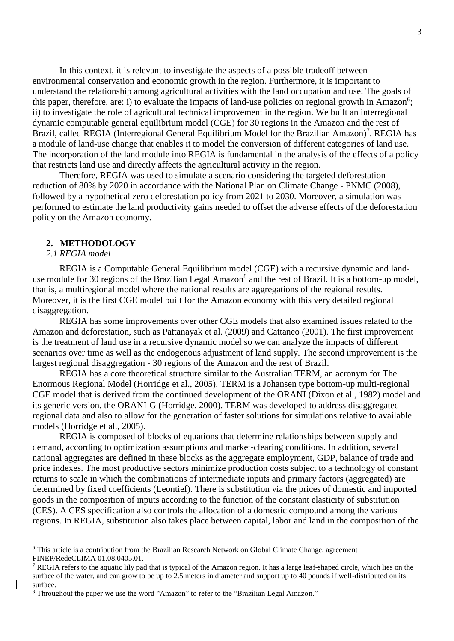In this context, it is relevant to investigate the aspects of a possible tradeoff between environmental conservation and economic growth in the region. Furthermore, it is important to understand the relationship among agricultural activities with the land occupation and use. The goals of this paper, therefore, are: i) to evaluate the impacts of land-use policies on regional growth in Amazon<sup>6</sup>; ii) to investigate the role of agricultural technical improvement in the region. We built an interregional dynamic computable general equilibrium model (CGE) for 30 regions in the Amazon and the rest of Brazil, called REGIA (Interregional General Equilibrium Model for the Brazilian Amazon)<sup>7</sup>. REGIA has a module of land-use change that enables it to model the conversion of different categories of land use. The incorporation of the land module into REGIA is fundamental in the analysis of the effects of a policy that restricts land use and directly affects the agricultural activity in the region.

Therefore, REGIA was used to simulate a scenario considering the targeted deforestation reduction of 80% by 2020 in accordance with the National Plan on Climate Change - PNMC (2008), followed by a hypothetical zero deforestation policy from 2021 to 2030. Moreover, a simulation was performed to estimate the land productivity gains needed to offset the adverse effects of the deforestation policy on the Amazon economy.

# **2. METHODOLOGY**

# *2.1 REGIA model*

 $\overline{a}$ 

REGIA is a Computable General Equilibrium model (CGE) with a recursive dynamic and landuse module for 30 regions of the Brazilian Legal Amazon<sup>8</sup> and the rest of Brazil. It is a bottom-up model, that is, a multiregional model where the national results are aggregations of the regional results. Moreover, it is the first CGE model built for the Amazon economy with this very detailed regional disaggregation.

REGIA has some improvements over other CGE models that also examined issues related to the Amazon and deforestation, such as Pattanayak et al. (2009) and Cattaneo (2001). The first improvement is the treatment of land use in a recursive dynamic model so we can analyze the impacts of different scenarios over time as well as the endogenous adjustment of land supply. The second improvement is the largest regional disaggregation - 30 regions of the Amazon and the rest of Brazil.

REGIA has a core theoretical structure similar to the Australian TERM, an acronym for The Enormous Regional Model (Horridge et al., 2005). TERM is a Johansen type bottom-up multi-regional CGE model that is derived from the continued development of the ORANI (Dixon et al., 1982) model and its generic version, the ORANI-G (Horridge, 2000). TERM was developed to address disaggregated regional data and also to allow for the generation of faster solutions for simulations relative to available models (Horridge et al., 2005).

REGIA is composed of blocks of equations that determine relationships between supply and demand, according to optimization assumptions and market-clearing conditions. In addition, several national aggregates are defined in these blocks as the aggregate employment, GDP, balance of trade and price indexes. The most productive sectors minimize production costs subject to a technology of constant returns to scale in which the combinations of intermediate inputs and primary factors (aggregated) are determined by fixed coefficients (Leontief). There is substitution via the prices of domestic and imported goods in the composition of inputs according to the function of the constant elasticity of substitution (CES). A CES specification also controls the allocation of a domestic compound among the various regions. In REGIA, substitution also takes place between capital, labor and land in the composition of the

<sup>6</sup> This article is a contribution from the Brazilian Research Network on Global Climate Change, agreement FINEP/RedeCLIMA 01.08.0405.01.

<sup>&</sup>lt;sup>7</sup> REGIA refers to the aquatic lily pad that is typical of the Amazon region. It has a large leaf-shaped circle, which lies on the surface of the water, and can grow to be up to 2.5 meters in diameter and support up to 40 pounds if well-distributed on its surface.

<sup>8</sup> Throughout the paper we use the word "Amazon" to refer to the "Brazilian Legal Amazon."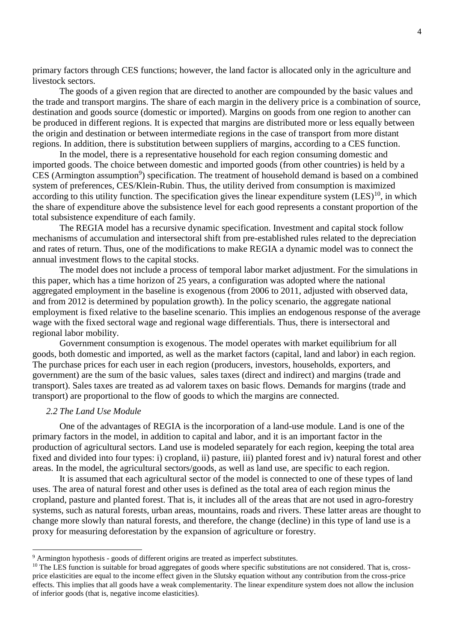primary factors through CES functions; however, the land factor is allocated only in the agriculture and livestock sectors.

The goods of a given region that are directed to another are compounded by the basic values and the trade and transport margins. The share of each margin in the delivery price is a combination of source, destination and goods source (domestic or imported). Margins on goods from one region to another can be produced in different regions. It is expected that margins are distributed more or less equally between the origin and destination or between intermediate regions in the case of transport from more distant regions. In addition, there is substitution between suppliers of margins, according to a CES function.

In the model, there is a representative household for each region consuming domestic and imported goods. The choice between domestic and imported goods (from other countries) is held by a CES (Armington assumption<sup>9</sup>) specification. The treatment of household demand is based on a combined system of preferences, CES/Klein-Rubin. Thus, the utility derived from consumption is maximized according to this utility function. The specification gives the linear expenditure system  $(LES)^{10}$ , in which the share of expenditure above the subsistence level for each good represents a constant proportion of the total subsistence expenditure of each family.

The REGIA model has a recursive dynamic specification. Investment and capital stock follow mechanisms of accumulation and intersectoral shift from pre-established rules related to the depreciation and rates of return. Thus, one of the modifications to make REGIA a dynamic model was to connect the annual investment flows to the capital stocks.

The model does not include a process of temporal labor market adjustment. For the simulations in this paper, which has a time horizon of 25 years, a configuration was adopted where the national aggregated employment in the baseline is exogenous (from 2006 to 2011, adjusted with observed data, and from 2012 is determined by population growth). In the policy scenario, the aggregate national employment is fixed relative to the baseline scenario. This implies an endogenous response of the average wage with the fixed sectoral wage and regional wage differentials. Thus, there is intersectoral and regional labor mobility.

Government consumption is exogenous. The model operates with market equilibrium for all goods, both domestic and imported, as well as the market factors (capital, land and labor) in each region. The purchase prices for each user in each region (producers, investors, households, exporters, and government) are the sum of the basic values, sales taxes (direct and indirect) and margins (trade and transport). Sales taxes are treated as ad valorem taxes on basic flows. Demands for margins (trade and transport) are proportional to the flow of goods to which the margins are connected.

### *2.2 The Land Use Module*

 $\overline{a}$ 

One of the advantages of REGIA is the incorporation of a land-use module. Land is one of the primary factors in the model, in addition to capital and labor, and it is an important factor in the production of agricultural sectors. Land use is modeled separately for each region, keeping the total area fixed and divided into four types: i) cropland, ii) pasture, iii) planted forest and iv) natural forest and other areas. In the model, the agricultural sectors/goods, as well as land use, are specific to each region.

It is assumed that each agricultural sector of the model is connected to one of these types of land uses. The area of natural forest and other uses is defined as the total area of each region minus the cropland, pasture and planted forest. That is, it includes all of the areas that are not used in agro-forestry systems, such as natural forests, urban areas, mountains, roads and rivers. These latter areas are thought to change more slowly than natural forests, and therefore, the change (decline) in this type of land use is a proxy for measuring deforestation by the expansion of agriculture or forestry.

<sup>9</sup> Armington hypothesis - goods of different origins are treated as imperfect substitutes.

<sup>&</sup>lt;sup>10</sup> The LES function is suitable for broad aggregates of goods where specific substitutions are not considered. That is, crossprice elasticities are equal to the income effect given in the Slutsky equation without any contribution from the cross-price effects. This implies that all goods have a weak complementarity. The linear expenditure system does not allow the inclusion of inferior goods (that is, negative income elasticities).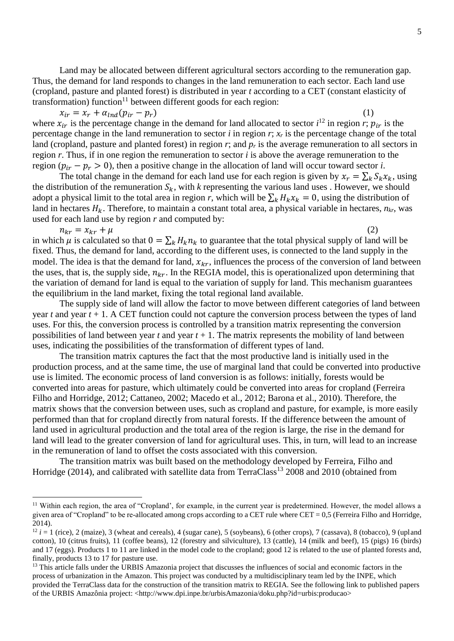Land may be allocated between different agricultural sectors according to the remuneration gap. Thus, the demand for land responds to changes in the land remuneration to each sector. Each land use (cropland, pasture and planted forest) is distributed in year *t* according to a CET (constant elasticity of

transformation) function<sup>11</sup> between different goods for each region:<br> $x_{ir} = x_r + \alpha_{lnd}(p_{ir} - p_r)$  $x_{ir} = x_r + \alpha_{lnd}(p_{ir} - p_r)$  (1) where  $x_{ir}$  is the percentage change in the demand for land allocated to sector  $i^{12}$  in region *r*;  $p_{ir}$  is the percentage change in the land remuneration to sector  $i$  in region  $r$ ;  $x_r$  is the percentage change of the total land (cropland, pasture and planted forest) in region *r*; and *p<sup>r</sup>* is the average remuneration to all sectors in region *r*. Thus, if in one region the remuneration to sector *i* is above the average remuneration to the region  $(p_{ir} - p_r > 0)$ , then a positive change in the allocation of land will occur toward sector *i*.

The total change in the demand for each land use for each region is given by  $x_r = \sum_k S_k x_k$ , using the distribution of the remuneration  $S_k$ , with *k* representing the various land uses . However, we should adopt a physical limit to the total area in region *r*, which will be  $\sum_k H_k x_k = 0$ , using the distribution of land in hectares  $H_k$ . Therefore, to maintain a constant total area, a physical variable in hectares,  $n_k$ , was used for each land use by region *r* and computed by:

 $n_{kr} = x_{kr} + \mu$  (2)

in which  $\mu$  is calculated so that  $0 = \sum_k H_k n_k$  to guarantee that the total physical supply of land will be fixed. Thus, the demand for land, according to the different uses, is connected to the land supply in the model. The idea is that the demand for land,  $x_{kr}$ , influences the process of the conversion of land between the uses, that is, the supply side,  $n_{kr}$ . In the REGIA model, this is operationalized upon determining that the variation of demand for land is equal to the variation of supply for land. This mechanism guarantees the equilibrium in the land market, fixing the total regional land available.

The supply side of land will allow the factor to move between different categories of land between year  $t$  and year  $t + 1$ . A CET function could not capture the conversion process between the types of land uses. For this, the conversion process is controlled by a transition matrix representing the conversion possibilities of land between year  $t$  and year  $t + 1$ . The matrix represents the mobility of land between uses, indicating the possibilities of the transformation of different types of land.

The transition matrix captures the fact that the most productive land is initially used in the production process, and at the same time, the use of marginal land that could be converted into productive use is limited. The economic process of land conversion is as follows: initially, forests would be converted into areas for pasture, which ultimately could be converted into areas for cropland (Ferreira Filho and Horridge, 2012; Cattaneo, 2002; Macedo et al., 2012; Barona et al., 2010). Therefore, the matrix shows that the conversion between uses, such as cropland and pasture, for example, is more easily performed than that for cropland directly from natural forests. If the difference between the amount of land used in agricultural production and the total area of the region is large, the rise in the demand for land will lead to the greater conversion of land for agricultural uses. This, in turn, will lead to an increase in the remuneration of land to offset the costs associated with this conversion.

The transition matrix was built based on the methodology developed by Ferreira, Filho and Horridge (2014), and calibrated with satellite data from TerraClass<sup>13</sup> 2008 and 2010 (obtained from

 $\overline{a}$ 

<sup>&</sup>lt;sup>11</sup> Within each region, the area of "Cropland', for example, in the current year is predetermined. However, the model allows a given area of "Cropland" to be re-allocated among crops according to a CET rule where CET = 0,5 (Ferreira Filho and Horridge, 2014).

 $12 i = 1$  (rice), 2 (maize), 3 (wheat and cereals), 4 (sugar cane), 5 (soybeans), 6 (other crops), 7 (cassava), 8 (tobacco), 9 (upland cotton), 10 (citrus fruits), 11 (coffee beans), 12 (forestry and silviculture), 13 (cattle), 14 (milk and beef), 15 (pigs) 16 (birds) and 17 (eggs). Products 1 to 11 are linked in the model code to the cropland; good 12 is related to the use of planted forests and, finally, products 13 to 17 for pasture use.

<sup>&</sup>lt;sup>13</sup> This article falls under the URBIS Amazonia project that discusses the influences of social and economic factors in the process of urbanization in the Amazon. This project was conducted by a multidisciplinary team led by the INPE, which provided the TerraClass data for the construction of the transition matrix to REGIA. See the following link to published papers of the URBIS Amazônia project: <http://www.dpi.inpe.br/urbisAmazonia/doku.php?id=urbis:producao>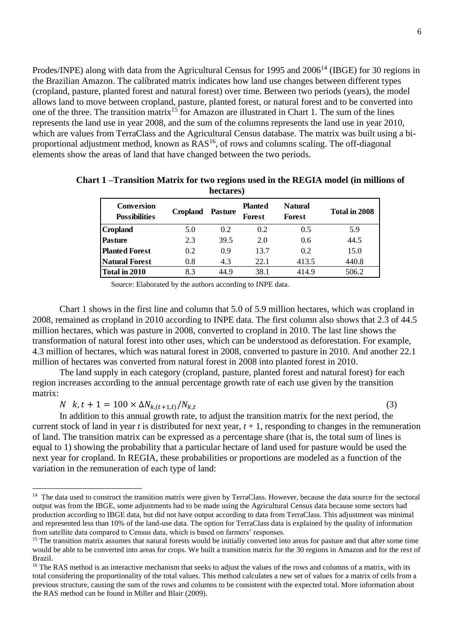Prodes/INPE) along with data from the Agricultural Census for 1995 and 2006<sup>14</sup> (IBGE) for 30 regions in the Brazilian Amazon. The calibrated matrix indicates how land use changes between different types (cropland, pasture, planted forest and natural forest) over time. Between two periods (years), the model allows land to move between cropland, pasture, planted forest, or natural forest and to be converted into one of the three. The transition matrix<sup>15</sup> for Amazon are illustrated in Chart 1. The sum of the lines represents the land use in year 2008, and the sum of the columns represents the land use in year 2010, which are values from TerraClass and the Agricultural Census database. The matrix was built using a biproportional adjustment method, known as  $RAS^{16}$ , of rows and columns scaling. The off-diagonal elements show the areas of land that have changed between the two periods.

| <b>Conversion</b><br><b>Possibilities</b> | <b>Cropland</b> | <b>Pasture</b> | <b>Planted</b><br>Forest | <b>Natural</b><br>Forest | Total in 2008 |
|-------------------------------------------|-----------------|----------------|--------------------------|--------------------------|---------------|
| Cropland                                  | 5.0             | 0.2            | 0.2                      | 0.5                      | 5.9           |
| <b>Pasture</b>                            | 2.3             | 39.5           | 2.0                      | 0.6                      | 44.5          |
| <b>Planted Forest</b>                     | 0.2             | 0.9            | 13.7                     | 0.2                      | 15.0          |
| <b>Natural Forest</b>                     | 0.8             | 4.3            | 22.1                     | 413.5                    | 440.8         |
| Total in 2010                             | 8.3             | 44.9           | 38.1                     | 414.9                    | 506.2         |

**Chart 1 –Transition Matrix for two regions used in the REGIA model (in millions of hectares)**

Source: Elaborated by the authors according to INPE data.

Chart 1 shows in the first line and column that 5.0 of 5.9 million hectares, which was cropland in 2008, remained as cropland in 2010 according to INPE data. The first column also shows that 2.3 of 44.5 million hectares, which was pasture in 2008, converted to cropland in 2010. The last line shows the transformation of natural forest into other uses, which can be understood as deforestation. For example, 4.3 million of hectares, which was natural forest in 2008, converted to pasture in 2010. And another 22.1 million of hectares was converted from natural forest in 2008 into planted forest in 2010. **Conversion**<br> **Conversion**<br> **Corpland**<br> **Corpland**<br> **Corpland**<br> **Corpland**<br> **Corpland**<br> **Pasture**<br> **Pasture**<br> **Pasture**<br> **Chat in 2010**<br> **Chat in 2010**<br> **Chat in 2010**<br> **Corpland**<br> **Chat 1** shows in the first line and col

The land supply in each category (cropland, pasture, planted forest and natural forest) for each region increases according to the annual percentage growth rate of each use given by the transition matrix:

 $N$   $k, t + 1 = 100 \times \Delta N_{k,(t+1,t)}/N_{k,t}$ (3)

 $\overline{a}$ 

In addition to this annual growth rate, to adjust the transition matrix for the next period, the current stock of land in year *t* is distributed for next year,  $t + 1$ , responding to changes in the remuneration of land. The transition matrix can be expressed as a percentage share (that is, the total sum of lines is equal to 1) showing the probability that a particular hectare of land used for pasture would be used the next year for cropland. In REGIA, these probabilities or proportions are modeled as a function of the variation in the remuneration of each type of land:

<sup>&</sup>lt;sup>14</sup> The data used to construct the transition matrix were given by TerraClass. However, because the data source for the sectoral output was from the IBGE, some adjustments had to be made using the Agricultural Census data because some sectors had production according to IBGE data, but did not have output according to data from TerraClass. This adjustment was minimal and represented less than 10% of the land-use data. The option for TerraClass data is explained by the quality of information from satellite data compared to Census data, which is based on farmers' responses.

<sup>&</sup>lt;sup>15</sup> The transition matrix assumes that natural forests would be initially converted into areas for pasture and that after some time would be able to be converted into areas for crops. We built a transition matrix for the 30 regions in Amazon and for the rest of Brazil.

<sup>&</sup>lt;sup>16</sup> The RAS method is an interactive mechanism that seeks to adjust the values of the rows and columns of a matrix, with its total considering the proportionality of the total values. This method calculates a new set of values for a matrix of cells from a previous structure, causing the sum of the rows and columns to be consistent with the expected total. More information about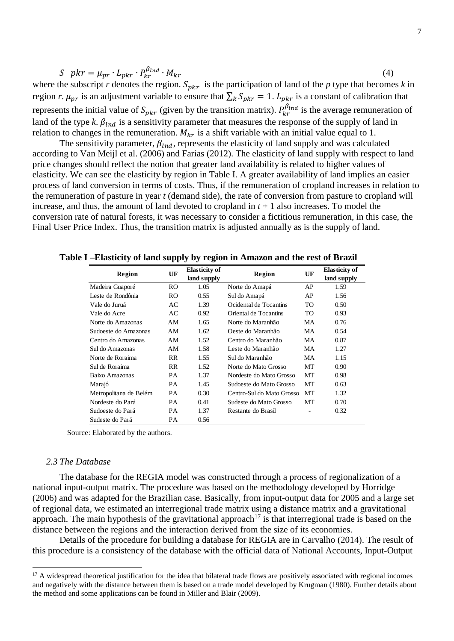$$
S \quad phr = \mu_{pr} \cdot L_{pkr} \cdot P_{kr}^{\beta_{\text{Ind}}} \cdot M_{kr} \tag{4}
$$

where the subscript *r* denotes the region.  $S_{pkr}$  is the participation of land of the *p* type that becomes *k* in region *r*.  $\mu_{pr}$  is an adjustment variable to ensure that  $\sum_k S_{pkr} = 1$ .  $L_{pkr}$  is a constant of calibration that represents the initial value of  $S_{pkr}$  (given by the transition matrix).  $P_{kr}^{\beta_{Ind}}$  is the average remuneration of land of the type *k*.  $\beta_{\text{Ind}}$  is a sensitivity parameter that measures the response of the supply of land in relation to changes in the remuneration.  $M_{kr}$  is a shift variable with an initial value equal to 1.

The sensitivity parameter,  $\beta_{ind}$ , represents the elasticity of land supply and was calculated according to Van Meijl et al. (2006) and Farias (2012). The elasticity of land supply with respect to land price changes should reflect the notion that greater land availability is related to higher values of elasticity. We can see the elasticity by region in Table I. A greater availability of land implies an easier process of land conversion in terms of costs. Thus, if the remuneration of cropland increases in relation to the remuneration of pasture in year *t* (demand side), the rate of conversion from pasture to cropland will increase, and thus, the amount of land devoted to cropland in  $t + 1$  also increases. To model the conversion rate of natural forests, it was necessary to consider a fictitious remuneration, in this case, the Final User Price Index. Thus, the transition matrix is adjusted annually as is the supply of land.

| Region                 | UF        | <b>Elasticity of</b> | Region                    | UF        | <b>Elasticity of</b> |  |
|------------------------|-----------|----------------------|---------------------------|-----------|----------------------|--|
|                        |           | land supply          |                           |           | land supply          |  |
| Madeira Guaporé        | RO.       | 1.05                 | Norte do Amapá            | AP        | 1.59                 |  |
| Leste de Rondônia      | RO.       | 0.55                 | Sul do Amapá              | AP        | 1.56                 |  |
| Vale do Juruá          | AC        | 1.39                 | Ocidental de Tocantins    | <b>TO</b> | 0.50                 |  |
| Vale do Acre           | AC        | 0.92                 | Oriental de Tocantins     | TO.       | 0.93                 |  |
| Norte do Amazonas      | AM        | 1.65                 | Norte do Maranhão         | MA        | 0.76                 |  |
| Sudoeste do Amazonas   | AM        | 1.62                 | Oeste do Maranhão         | MA        | 0.54                 |  |
| Centro do Amazonas     | AM        | 1.52                 | Centro do Maranhão        | MA        | 0.87                 |  |
| Sul do Amazonas        | AM        | 1.58                 | Leste do Maranhão         | MA        | 1.27                 |  |
| Norte de Roraima       | RR.       | 1.55                 | Sul do Maranhão           | MA        | 1.15                 |  |
| Sul de Roraima         | RR.       | 1.52                 | Norte do Mato Grosso      | MT        | 0.90 <sub>1</sub>    |  |
| Baixo Amazonas         | <b>PA</b> | 1.37                 | Nordeste do Mato Grosso   | MT        | 0.98                 |  |
| Marajó                 | <b>PA</b> | 1.45                 | Sudoeste do Mato Grosso   | MT        | 0.63                 |  |
| Metropolitana de Belém | <b>PA</b> | 0.30                 | Centro-Sul do Mato Grosso | MT        | 1.32                 |  |
| Nordeste do Pará       | <b>PA</b> | 0.41                 | Sudeste do Mato Grosso    | MT        | 0.70                 |  |
| Sudoeste do Pará       | <b>PA</b> | 1.37                 | Restante do Brasil        | -         | 0.32                 |  |
| Sudeste do Pará        | <b>PA</b> | 0.56                 |                           |           |                      |  |

**Table I –Elasticity of land supply by region in Amazon and the rest of Brazil**

Source: Elaborated by the authors.

#### *2.3 The Database*

 $\overline{a}$ 

The database for the REGIA model was constructed through a process of regionalization of a national input-output matrix. The procedure was based on the methodology developed by Horridge (2006) and was adapted for the Brazilian case. Basically, from input-output data for 2005 and a large set of regional data, we estimated an interregional trade matrix using a distance matrix and a gravitational approach. The main hypothesis of the gravitational approach<sup>17</sup> is that interregional trade is based on the distance between the regions and the interaction derived from the size of its economies.

Details of the procedure for building a database for REGIA are in Carvalho (2014). The result of this procedure is a consistency of the database with the official data of National Accounts, Input-Output

<sup>&</sup>lt;sup>17</sup> A widespread theoretical justification for the idea that bilateral trade flows are positively associated with regional incomes and negatively with the distance between them is based on a trade model developed by Krugman (1980). Further details about the method and some applications can be found in Miller and Blair (2009).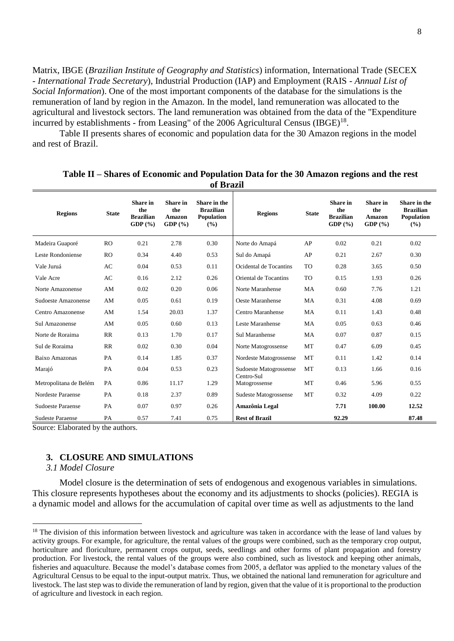Matrix, IBGE (*Brazilian Institute of Geography and Statistics*) information, International Trade (SECEX - *International Trade Secretary*), Industrial Production (IAP) and Employment (RAIS - *Annual List of Social Information*). One of the most important components of the database for the simulations is the remuneration of land by region in the Amazon. In the model, land remuneration was allocated to the agricultural and livestock sectors. The land remuneration was obtained from the data of the "Expenditure incurred by establishments - from Leasing" of the 2006 Agricultural Census  $(BGE)^{18}$ .

Table II presents shares of economic and population data for the 30 Amazon regions in the model and rest of Brazil.

| <b>Regions</b>           | <b>State</b> | <b>Share</b> in<br>the<br><b>Brazilian</b><br>GDP $(\% )$ | <b>Share</b> in<br>the<br><b>Amazon</b><br>GDP(%) | Share in the<br><b>Brazilian</b><br><b>Population</b><br>(%) | <b>Regions</b>                       | <b>State</b> | <b>Share</b> in<br>the<br><b>Brazilian</b><br>GDP(%) | <b>Share</b> in<br>the<br><b>Amazon</b><br>GDP $(\%)$ | Share in the<br><b>Brazilian</b><br><b>Population</b><br>(%) |
|--------------------------|--------------|-----------------------------------------------------------|---------------------------------------------------|--------------------------------------------------------------|--------------------------------------|--------------|------------------------------------------------------|-------------------------------------------------------|--------------------------------------------------------------|
| Madeira Guaporé          | RO           | 0.21                                                      | 2.78                                              | 0.30                                                         | Norte do Amapá                       | AP           | 0.02                                                 | 0.21                                                  | 0.02                                                         |
| Leste Rondoniense        | RO           | 0.34                                                      | 4.40                                              | 0.53                                                         | Sul do Amapá                         | AP           | 0.21                                                 | 2.67                                                  | 0.30                                                         |
| Vale Juruá               | AC           | 0.04                                                      | 0.53                                              | 0.11                                                         | Ocidental de Tocantins               | <b>TO</b>    | 0.28                                                 | 3.65                                                  | 0.50                                                         |
| Vale Acre                | AC           | 0.16                                                      | 2.12                                              | 0.26                                                         | Oriental de Tocantins                | <b>TO</b>    | 0.15                                                 | 1.93                                                  | 0.26                                                         |
| Norte Amazonense         | AM           | 0.02                                                      | 0.20                                              | 0.06                                                         | Norte Maranhense                     | MA           | 0.60                                                 | 7.76                                                  | 1.21                                                         |
| Sudoeste Amazonense      | AM           | 0.05                                                      | 0.61                                              | 0.19                                                         | Oeste Maranhense                     | MA           | 0.31                                                 | 4.08                                                  | 0.69                                                         |
| Centro Amazonense        | AM           | 1.54                                                      | 20.03                                             | 1.37                                                         | Centro Maranhense                    | <b>MA</b>    | 0.11                                                 | 1.43                                                  | 0.48                                                         |
| Sul Amazonense           | AM           | 0.05                                                      | 0.60                                              | 0.13                                                         | Leste Maranhense                     | MA           | 0.05                                                 | 0.63                                                  | 0.46                                                         |
| Norte de Roraima         | RR           | 0.13                                                      | 1.70                                              | 0.17                                                         | Sul Maranhense                       | <b>MA</b>    | 0.07                                                 | 0.87                                                  | 0.15                                                         |
| Sul de Roraima           | RR           | 0.02                                                      | 0.30                                              | 0.04                                                         | Norte Matogrossense                  | <b>MT</b>    | 0.47                                                 | 6.09                                                  | 0.45                                                         |
| Baixo Amazonas           | PA           | 0.14                                                      | 1.85                                              | 0.37                                                         | Nordeste Matogrossense               | <b>MT</b>    | 0.11                                                 | 1.42                                                  | 0.14                                                         |
| Marajó                   | PA           | 0.04                                                      | 0.53                                              | 0.23                                                         | Sudoeste Matogrossense<br>Centro-Sul | <b>MT</b>    | 0.13                                                 | 1.66                                                  | 0.16                                                         |
| Metropolitana de Belém   | PA           | 0.86                                                      | 11.17                                             | 1.29                                                         | Matogrossense                        | MT           | 0.46                                                 | 5.96                                                  | 0.55                                                         |
| Nordeste Paraense        | PA           | 0.18                                                      | 2.37                                              | 0.89                                                         | Sudeste Matogrossense                | <b>MT</b>    | 0.32                                                 | 4.09                                                  | 0.22                                                         |
| <b>Sudoeste Paraense</b> | PA           | 0.07                                                      | 0.97                                              | 0.26                                                         | Amazônia Legal                       |              | 7.71                                                 | 100.00                                                | 12.52                                                        |
| <b>Sudeste Paraense</b>  | PA           | 0.57                                                      | 7.41                                              | 0.75                                                         | <b>Rest of Brazil</b>                |              | 92.29                                                |                                                       | 87.48                                                        |

**Table II – Shares of Economic and Population Data for the 30 Amazon regions and the rest of Brazil**

Source: Elaborated by the authors.

## **3. CLOSURE AND SIMULATIONS**

### *3.1 Model Closure*

 $\overline{a}$ 

Model closure is the determination of sets of endogenous and exogenous variables in simulations. This closure represents hypotheses about the economy and its adjustments to shocks (policies). REGIA is a dynamic model and allows for the accumulation of capital over time as well as adjustments to the land

 $18$  The division of this information between livestock and agriculture was taken in accordance with the lease of land values by activity groups. For example, for agriculture, the rental values of the groups were combined, such as the temporary crop output, horticulture and floriculture, permanent crops output, seeds, seedlings and other forms of plant propagation and forestry production. For livestock, the rental values of the groups were also combined, such as livestock and keeping other animals, fisheries and aquaculture. Because the model's database comes from 2005, a deflator was applied to the monetary values of the Agricultural Census to be equal to the input-output matrix. Thus, we obtained the national land remuneration for agriculture and livestock. The last step was to divide the remuneration of land by region, given that the value of it is proportional to the production of agriculture and livestock in each region.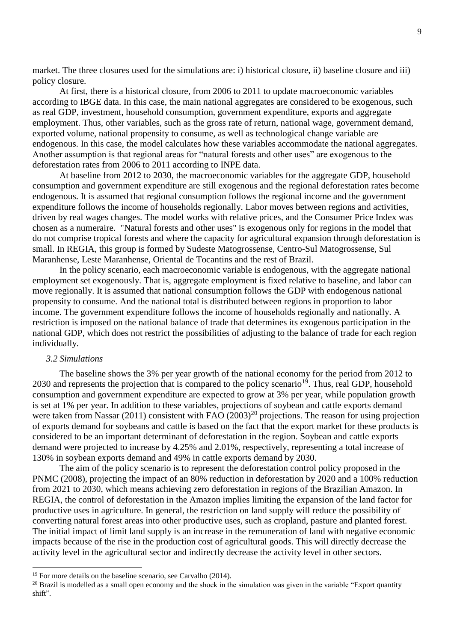market. The three closures used for the simulations are: i) historical closure, ii) baseline closure and iii) policy closure.

At first, there is a historical closure, from 2006 to 2011 to update macroeconomic variables according to IBGE data. In this case, the main national aggregates are considered to be exogenous, such as real GDP, investment, household consumption, government expenditure, exports and aggregate employment. Thus, other variables, such as the gross rate of return, national wage, government demand, exported volume, national propensity to consume, as well as technological change variable are endogenous. In this case, the model calculates how these variables accommodate the national aggregates. Another assumption is that regional areas for "natural forests and other uses" are exogenous to the deforestation rates from 2006 to 2011 according to INPE data.

At baseline from 2012 to 2030, the macroeconomic variables for the aggregate GDP, household consumption and government expenditure are still exogenous and the regional deforestation rates become endogenous. It is assumed that regional consumption follows the regional income and the government expenditure follows the income of households regionally. Labor moves between regions and activities, driven by real wages changes. The model works with relative prices, and the Consumer Price Index was chosen as a numeraire. "Natural forests and other uses" is exogenous only for regions in the model that do not comprise tropical forests and where the capacity for agricultural expansion through deforestation is small. In REGIA, this group is formed by Sudeste Matogrossense, Centro-Sul Matogrossense, Sul Maranhense, Leste Maranhense, Oriental de Tocantins and the rest of Brazil.

In the policy scenario, each macroeconomic variable is endogenous, with the aggregate national employment set exogenously. That is, aggregate employment is fixed relative to baseline, and labor can move regionally. It is assumed that national consumption follows the GDP with endogenous national propensity to consume. And the national total is distributed between regions in proportion to labor income. The government expenditure follows the income of households regionally and nationally. A restriction is imposed on the national balance of trade that determines its exogenous participation in the national GDP, which does not restrict the possibilities of adjusting to the balance of trade for each region individually.

# *3.2 Simulations*

 $\overline{a}$ 

The baseline shows the 3% per year growth of the national economy for the period from 2012 to 2030 and represents the projection that is compared to the policy scenario<sup>19</sup>. Thus, real GDP, household consumption and government expenditure are expected to grow at 3% per year, while population growth is set at 1% per year. In addition to these variables, projections of soybean and cattle exports demand were taken from Nassar (2011) consistent with FAO  $(2003)^{20}$  projections. The reason for using projection of exports demand for soybeans and cattle is based on the fact that the export market for these products is considered to be an important determinant of deforestation in the region. Soybean and cattle exports demand were projected to increase by 4.25% and 2.01%, respectively, representing a total increase of 130% in soybean exports demand and 49% in cattle exports demand by 2030.

The aim of the policy scenario is to represent the deforestation control policy proposed in the PNMC (2008), projecting the impact of an 80% reduction in deforestation by 2020 and a 100% reduction from 2021 to 2030, which means achieving zero deforestation in regions of the Brazilian Amazon. In REGIA, the control of deforestation in the Amazon implies limiting the expansion of the land factor for productive uses in agriculture. In general, the restriction on land supply will reduce the possibility of converting natural forest areas into other productive uses, such as cropland, pasture and planted forest. The initial impact of limit land supply is an increase in the remuneration of land with negative economic impacts because of the rise in the production cost of agricultural goods. This will directly decrease the activity level in the agricultural sector and indirectly decrease the activity level in other sectors.

<sup>&</sup>lt;sup>19</sup> For more details on the baseline scenario, see Carvalho (2014).

 $20$  Brazil is modelled as a small open economy and the shock in the simulation was given in the variable "Export quantity" shift".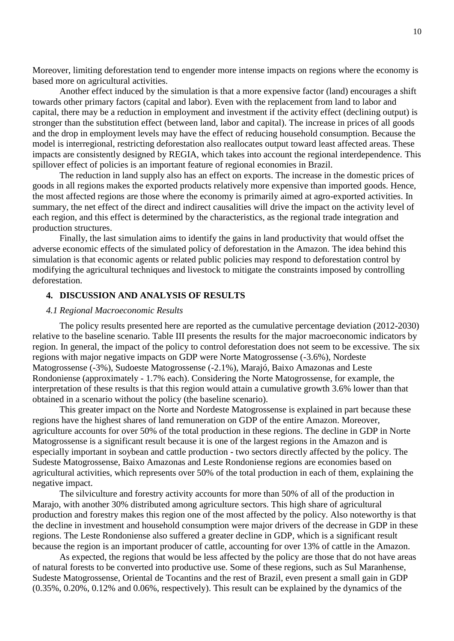Moreover, limiting deforestation tend to engender more intense impacts on regions where the economy is based more on agricultural activities.

Another effect induced by the simulation is that a more expensive factor (land) encourages a shift towards other primary factors (capital and labor). Even with the replacement from land to labor and capital, there may be a reduction in employment and investment if the activity effect (declining output) is stronger than the substitution effect (between land, labor and capital). The increase in prices of all goods and the drop in employment levels may have the effect of reducing household consumption. Because the model is interregional, restricting deforestation also reallocates output toward least affected areas. These impacts are consistently designed by REGIA, which takes into account the regional interdependence. This spillover effect of policies is an important feature of regional economies in Brazil.

The reduction in land supply also has an effect on exports. The increase in the domestic prices of goods in all regions makes the exported products relatively more expensive than imported goods. Hence, the most affected regions are those where the economy is primarily aimed at agro-exported activities. In summary, the net effect of the direct and indirect causalities will drive the impact on the activity level of each region, and this effect is determined by the characteristics, as the regional trade integration and production structures.

Finally, the last simulation aims to identify the gains in land productivity that would offset the adverse economic effects of the simulated policy of deforestation in the Amazon. The idea behind this simulation is that economic agents or related public policies may respond to deforestation control by modifying the agricultural techniques and livestock to mitigate the constraints imposed by controlling deforestation.

# **4. DISCUSSION AND ANALYSIS OF RESULTS**

## *4.1 Regional Macroeconomic Results*

The policy results presented here are reported as the cumulative percentage deviation (2012-2030) relative to the baseline scenario. Table III presents the results for the major macroeconomic indicators by region. In general, the impact of the policy to control deforestation does not seem to be excessive. The six regions with major negative impacts on GDP were Norte Matogrossense (-3.6%), Nordeste Matogrossense (-3%), Sudoeste Matogrossense (-2.1%), Marajó, Baixo Amazonas and Leste Rondoniense (approximately - 1.7% each). Considering the Norte Matogrossense, for example, the interpretation of these results is that this region would attain a cumulative growth 3.6% lower than that obtained in a scenario without the policy (the baseline scenario).

This greater impact on the Norte and Nordeste Matogrossense is explained in part because these regions have the highest shares of land remuneration on GDP of the entire Amazon. Moreover, agriculture accounts for over 50% of the total production in these regions. The decline in GDP in Norte Matogrossense is a significant result because it is one of the largest regions in the Amazon and is especially important in soybean and cattle production - two sectors directly affected by the policy. The Sudeste Matogrossense, Baixo Amazonas and Leste Rondoniense regions are economies based on agricultural activities, which represents over 50% of the total production in each of them, explaining the negative impact.

The silviculture and forestry activity accounts for more than 50% of all of the production in Marajo, with another 30% distributed among agriculture sectors. This high share of agricultural production and forestry makes this region one of the most affected by the policy. Also noteworthy is that the decline in investment and household consumption were major drivers of the decrease in GDP in these regions. The Leste Rondoniense also suffered a greater decline in GDP, which is a significant result because the region is an important producer of cattle, accounting for over 13% of cattle in the Amazon.

As expected, the regions that would be less affected by the policy are those that do not have areas of natural forests to be converted into productive use. Some of these regions, such as Sul Maranhense, Sudeste Matogrossense, Oriental de Tocantins and the rest of Brazil, even present a small gain in GDP (0.35%, 0.20%, 0.12% and 0.06%, respectively). This result can be explained by the dynamics of the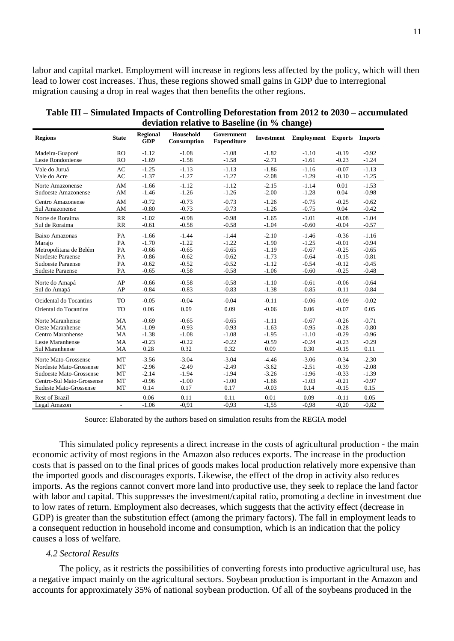labor and capital market. Employment will increase in regions less affected by the policy, which will then lead to lower cost increases. Thus, these regions showed small gains in GDP due to interregional migration causing a drop in real wages that then benefits the other regions.

|                           |                |                                | viation relative to Basenne (in |                                  |                   |                   |                |                |
|---------------------------|----------------|--------------------------------|---------------------------------|----------------------------------|-------------------|-------------------|----------------|----------------|
| <b>Regions</b>            | <b>State</b>   | <b>Regional</b><br>${\bf GDP}$ | Household<br>Consumption        | Government<br><b>Expenditure</b> | <b>Investment</b> | <b>Employment</b> | <b>Exports</b> | <b>Imports</b> |
| Madeira-Guaporé           | <b>RO</b>      | $-1.12$                        | $-1.08$                         | $-1.08$                          | $-1.82$           | $-1.10$           | $-0.19$        | $-0.92$        |
| Leste Rondoniense         | <b>RO</b>      | $-1.69$                        | $-1.58$                         | $-1.58$                          | $-2.71$           | $-1.61$           | $-0.23$        | $-1.24$        |
| Vale do Juruá             | AC             | $-1.25$                        | $-1.13$                         | $-1.13$                          | $-1.86$           | $-1.16$           | $-0.07$        | $-1.13$        |
| Vale do Acre              | AC             | $-1.37$                        | $-1.27$                         | $-1.27$                          | $-2.08$           | $-1.29$           | $-0.10$        | $-1.25$        |
| Norte Amazonense          | AM             | $-1.66$                        | $-1.12$                         | $-1.12$                          | $-2.15$           | $-1.14$           | 0.01           | $-1.53$        |
| Sudoeste Amazonense       | AM             | $-1.46$                        | $-1.26$                         | $-1.26$                          | $-2.00$           | $-1.28$           | 0.04           | $-0.98$        |
| <b>Centro Amazonense</b>  | AM             | $-0.72$                        | $-0.73$                         | $-0.73$                          | $-1.26$           | $-0.75$           | $-0.25$        | $-0.62$        |
| Sul Amazonense            | AM             | $-0.80$                        | $-0.73$                         | $-0.73$                          | $-1.26$           | $-0.75$           | 0.04           | $-0.42$        |
| Norte de Roraima          | RR             | $-1.02$                        | $-0.98$                         | $-0.98$                          | $-1.65$           | $-1.01$           | $-0.08$        | $-1.04$        |
| Sul de Roraima            | RR             | $-0.61$                        | $-0.58$                         | $-0.58$                          | $-1.04$           | $-0.60$           | $-0.04$        | $-0.57$        |
| Baixo Amazonas            | PA             | $-1.66$                        | $-1.44$                         | $-1.44$                          | $-2.10$           | $-1.46$           | $-0.36$        | $-1.16$        |
| Marajo                    | PA             | $-1.70$                        | $-1.22$                         | $-1.22$                          | $-1.90$           | $-1.25$           | $-0.01$        | $-0.94$        |
| Metropolitana de Belém    | PA             | $-0.66$                        | $-0.65$                         | $-0.65$                          | $-1.19$           | $-0.67$           | $-0.25$        | $-0.65$        |
| Nordeste Paraense         | PA             | $-0.86$                        | $-0.62$                         | $-0.62$                          | $-1.73$           | $-0.64$           | $-0.15$        | $-0.81$        |
| Sudoeste Paraense         | PA             | $-0.62$                        | $-0.52$                         | $-0.52$                          | $-1.12$           | $-0.54$           | $-0.12$        | $-0.45$        |
| <b>Sudeste Paraense</b>   | PA             | $-0.65$                        | $-0.58$                         | $-0.58$                          | $-1.06$           | $-0.60$           | $-0.25$        | $-0.48$        |
| Norte do Amapá            | AP             | $-0.66$                        | $-0.58$                         | $-0.58$                          | $-1.10$           | $-0.61$           | $-0.06$        | $-0.64$        |
| Sul do Amapá              | AP             | $-0.84$                        | $-0.83$                         | $-0.83$                          | $-1.38$           | $-0.85$           | $-0.11$        | $-0.84$        |
|                           |                |                                | $-0.04$                         | $-0.04$                          |                   | $-0.06$           |                |                |
| Ocidental do Tocantins    | <b>TO</b>      | $-0.05$                        |                                 |                                  | $-0.11$           |                   | $-0.09$        | $-0.02$        |
| Oriental do Tocantins     | <b>TO</b>      | 0.06                           | 0.09                            | 0.09                             | $-0.06$           | 0.06              | $-0.07$        | 0.05           |
| Norte Maranhense          | <b>MA</b>      | $-0.69$                        | $-0.65$                         | $-0.65$                          | $-1.11$           | $-0.67$           | $-0.26$        | $-0.71$        |
| Oeste Maranhense          | MA             | $-1.09$                        | $-0.93$                         | $-0.93$                          | $-1.63$           | $-0.95$           | $-0.28$        | $-0.80$        |
| Centro Maranhense         | MA             | $-1.38$                        | $-1.08$                         | $-1.08$                          | $-1.95$           | $-1.10$           | $-0.29$        | $-0.96$        |
| Leste Maranhense          | <b>MA</b>      | $-0.23$                        | $-0.22$                         | $-0.22$                          | $-0.59$           | $-0.24$           | $-0.23$        | $-0.29$        |
| Sul Maranhense            | MA             | 0.28                           | 0.32                            | 0.32                             | 0.09              | 0.30              | $-0.15$        | 0.11           |
| Norte Mato-Grossense      | MT             | $-3.56$                        | $-3.04$                         | $-3.04$                          | $-4.46$           | $-3.06$           | $-0.34$        | $-2.30$        |
| Nordeste Mato-Grossense   | MT             | $-2.96$                        | $-2.49$                         | $-2.49$                          | $-3.62$           | $-2.51$           | $-0.39$        | $-2.08$        |
| Sudoeste Mato-Grossense   | MT             | $-2.14$                        | $-1.94$                         | $-1.94$                          | $-3.26$           | $-1.96$           | $-0.33$        | $-1.39$        |
| Centro-Sul Mato-Grossense | MT             | $-0.96$                        | $-1.00$                         | $-1.00$                          | $-1.66$           | $-1.03$           | $-0.21$        | $-0.97$        |
| Sudeste Mato-Grossense    | MT             | 0.14                           | 0.17                            | 0.17                             | $-0.03$           | 0.14              | $-0.15$        | 0.15           |
| <b>Rest of Brazil</b>     | $\blacksquare$ | 0.06                           | 0.11                            | 0.11                             | 0.01              | 0.09              | $-0.11$        | 0.05           |
| Legal Amazon              | ÷,             | $-1.06$                        | $-0.91$                         | $-0.93$                          | $-1,55$           | $-0.98$           | $-0,20$        | $-0.82$        |

**Table III – Simulated Impacts of Controlling Deforestation from 2012 to 2030 – accumulated deviation relative to Baseline (in % change)**

Source: Elaborated by the authors based on simulation results from the REGIA model

This simulated policy represents a direct increase in the costs of agricultural production - the main economic activity of most regions in the Amazon also reduces exports. The increase in the production costs that is passed on to the final prices of goods makes local production relatively more expensive than the imported goods and discourages exports. Likewise, the effect of the drop in activity also reduces imports. As the regions cannot convert more land into productive use, they seek to replace the land factor with labor and capital. This suppresses the investment/capital ratio, promoting a decline in investment due to low rates of return. Employment also decreases, which suggests that the activity effect (decrease in GDP) is greater than the substitution effect (among the primary factors). The fall in employment leads to a consequent reduction in household income and consumption, which is an indication that the policy causes a loss of welfare.

### *4.2 Sectoral Results*

The policy, as it restricts the possibilities of converting forests into productive agricultural use, has a negative impact mainly on the agricultural sectors. Soybean production is important in the Amazon and accounts for approximately 35% of national soybean production. Of all of the soybeans produced in the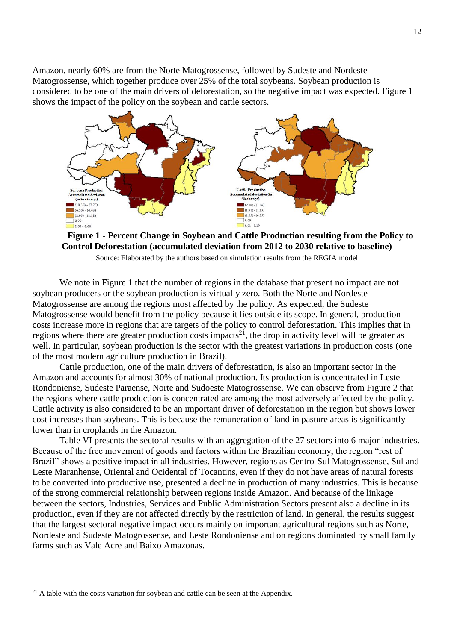Amazon, nearly 60% are from the Norte Matogrossense, followed by Sudeste and Nordeste Matogrossense, which together produce over 25% of the total soybeans. Soybean production is considered to be one of the main drivers of deforestation, so the negative impact was expected. Figure 1 shows the impact of the policy on the soybean and cattle sectors.



**Figure 1 - Percent Change in Soybean and Cattle Production resulting from the Policy to Control Deforestation (accumulated deviation from 2012 to 2030 relative to baseline)**

Source: Elaborated by the authors based on simulation results from the REGIA model

We note in Figure 1 that the number of regions in the database that present no impact are not soybean producers or the soybean production is virtually zero. Both the Norte and Nordeste Matogrossense are among the regions most affected by the policy. As expected, the Sudeste Matogrossense would benefit from the policy because it lies outside its scope. In general, production costs increase more in regions that are targets of the policy to control deforestation. This implies that in regions where there are greater production costs impacts<sup>21</sup>, the drop in activity level will be greater as well. In particular, soybean production is the sector with the greatest variations in production costs (one of the most modern agriculture production in Brazil).

Cattle production, one of the main drivers of deforestation, is also an important sector in the Amazon and accounts for almost 30% of national production. Its production is concentrated in Leste Rondoniense, Sudeste Paraense, Norte and Sudoeste Matogrossense. We can observe from Figure 2 that the regions where cattle production is concentrated are among the most adversely affected by the policy. Cattle activity is also considered to be an important driver of deforestation in the region but shows lower cost increases than soybeans. This is because the remuneration of land in pasture areas is significantly lower than in croplands in the Amazon.

Table VI presents the sectoral results with an aggregation of the 27 sectors into 6 major industries. Because of the free movement of goods and factors within the Brazilian economy, the region "rest of Brazil" shows a positive impact in all industries. However, regions as Centro-Sul Matogrossense, Sul and Leste Maranhense, Oriental and Ocidental of Tocantins, even if they do not have areas of natural forests to be converted into productive use, presented a decline in production of many industries. This is because of the strong commercial relationship between regions inside Amazon. And because of the linkage between the sectors, Industries, Services and Public Administration Sectors present also a decline in its production, even if they are not affected directly by the restriction of land. In general, the results suggest that the largest sectoral negative impact occurs mainly on important agricultural regions such as Norte, Nordeste and Sudeste Matogrossense, and Leste Rondoniense and on regions dominated by small family farms such as Vale Acre and Baixo Amazonas.

 $\overline{a}$ 

<sup>&</sup>lt;sup>21</sup> A table with the costs variation for soybean and cattle can be seen at the Appendix.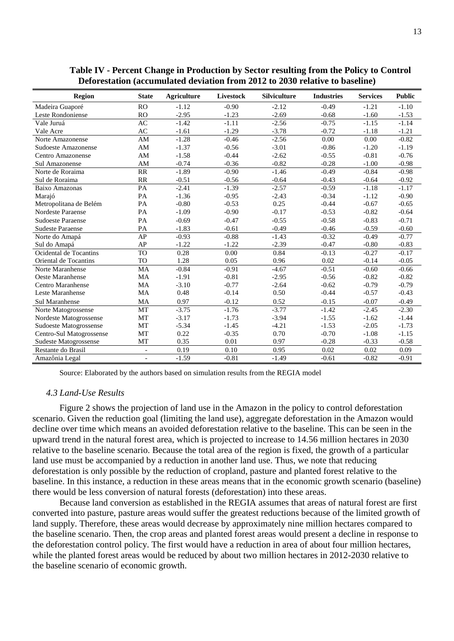| <b>Region</b>            | <b>State</b>             | <b>Agriculture</b> | <b>Livestock</b> | <b>Silviculture</b> | <b>Industries</b> | <b>Services</b> | <b>Public</b> |
|--------------------------|--------------------------|--------------------|------------------|---------------------|-------------------|-----------------|---------------|
| Madeira Guaporé          | RO                       | $-1.12$            | $-0.90$          | $-2.12$             | $-0.49$           | $-1.21$         | $-1.10$       |
| Leste Rondoniense        | R <sub>O</sub>           | $-2.95$            | $-1.23$          | $-2.69$             | $-0.68$           | $-1.60$         | $-1.53$       |
| Vale Juruá               | AC                       | $-1.42$            | $-1.11$          | $-2.56$             | $-0.75$           | $-1.15$         | $-1.14$       |
| Vale Acre                | AC                       | $-1.61$            | $-1.29$          | $-3.78$             | $-0.72$           | $-1.18$         | $-1.21$       |
| Norte Amazonense         | AM                       | $-1.28$            | $-0.46$          | $-2.56$             | 0.00              | 0.00            | $-0.82$       |
| Sudoeste Amazonense      | $\mathbf{A}\mathbf{M}$   | $-1.37$            | $-0.56$          | $-3.01$             | $-0.86$           | $-1.20$         | $-1.19$       |
| Centro Amazonense        | $\mathbf{A}\mathbf{M}$   | $-1.58$            | $-0.44$          | $-2.62$             | $-0.55$           | $-0.81$         | $-0.76$       |
| Sul Amazonense           | AM                       | $-0.74$            | $-0.36$          | $-0.82$             | $-0.28$           | $-1.00$         | $-0.98$       |
| Norte de Roraima         | RR                       | $-1.89$            | $-0.90$          | $-1.46$             | $-0.49$           | $-0.84$         | $-0.98$       |
| Sul de Roraima           | RR                       | $-0.51$            | $-0.56$          | $-0.64$             | $-0.43$           | $-0.64$         | $-0.92$       |
| Baixo Amazonas           | PA                       | $-2.41$            | $-1.39$          | $-2.57$             | $-0.59$           | $-1.18$         | $-1.17$       |
| Marajó                   | PA                       | $-1.36$            | $-0.95$          | $-2.43$             | $-0.34$           | $-1.12$         | $-0.90$       |
| Metropolitana de Belém   | PA                       | $-0.80$            | $-0.53$          | 0.25                | $-0.44$           | $-0.67$         | $-0.65$       |
| Nordeste Paraense        | PA                       | $-1.09$            | $-0.90$          | $-0.17$             | $-0.53$           | $-0.82$         | $-0.64$       |
| <b>Sudoeste Paraense</b> | PA                       | $-0.69$            | $-0.47$          | $-0.55$             | $-0.58$           | $-0.83$         | $-0.71$       |
| <b>Sudeste Paraense</b>  | PA                       | $-1.83$            | $-0.61$          | $-0.49$             | $-0.46$           | $-0.59$         | $-0.60$       |
| Norte do Amapá           | AP                       | $-0.93$            | $-0.88$          | $-1.43$             | $-0.32$           | $-0.49$         | $-0.77$       |
| Sul do Amapá             | AP                       | $-1.22$            | $-1.22$          | $-2.39$             | $-0.47$           | $-0.80$         | $-0.83$       |
| Ocidental de Tocantins   | <b>TO</b>                | 0.28               | 0.00             | 0.84                | $-0.13$           | $-0.27$         | $-0.17$       |
| Oriental de Tocantins    | <b>TO</b>                | 1.28               | 0.05             | 0.96                | 0.02              | $-0.14$         | $-0.05$       |
| Norte Maranhense         | <b>MA</b>                | $-0.84$            | $-0.91$          | $-4.67$             | $-0.51$           | $-0.60$         | $-0.66$       |
| Oeste Maranhense         | <b>MA</b>                | $-1.91$            | $-0.81$          | $-2.95$             | $-0.56$           | $-0.82$         | $-0.82$       |
| Centro Maranhense        | MA                       | $-3.10$            | $-0.77$          | $-2.64$             | $-0.62$           | $-0.79$         | $-0.79$       |
| Leste Maranhense         | <b>MA</b>                | 0.48               | $-0.14$          | 0.50                | $-0.44$           | $-0.57$         | $-0.43$       |
| <b>Sul Maranhense</b>    | <b>MA</b>                | 0.97               | $-0.12$          | 0.52                | $-0.15$           | $-0.07$         | $-0.49$       |
| Norte Matogrossense      | MT                       | $-3.75$            | $-1.76$          | $-3.77$             | $-1.42$           | $-2.45$         | $-2.30$       |
| Nordeste Matogrossense   | MT                       | $-3.17$            | $-1.73$          | $-3.94$             | $-1.55$           | $-1.62$         | $-1.44$       |
| Sudoeste Matogrossense   | <b>MT</b>                | $-5.34$            | $-1.45$          | $-4.21$             | $-1.53$           | $-2.05$         | $-1.73$       |
| Centro-Sul Matogrossense | MT                       | 0.22               | $-0.35$          | 0.70                | $-0.70$           | $-1.08$         | $-1.15$       |
| Sudeste Matogrossense    | MT                       | 0.35               | 0.01             | 0.97                | $-0.28$           | $-0.33$         | $-0.58$       |
| Restante do Brasil       | $\overline{\phantom{0}}$ | 0.19               | 0.10             | 0.95                | 0.02              | 0.02            | 0.09          |
| Amazônia Legal           | $\overline{\phantom{a}}$ | $-1.59$            | $-0.81$          | $-1.49$             | $-0.61$           | $-0.82$         | $-0.91$       |

**Table IV - Percent Change in Production by Sector resulting from the Policy to Control Deforestation (accumulated deviation from 2012 to 2030 relative to baseline)**

Source: Elaborated by the authors based on simulation results from the REGIA model

#### *4.3 Land-Use Results*

Figure 2 shows the projection of land use in the Amazon in the policy to control deforestation scenario. Given the reduction goal (limiting the land use), aggregate deforestation in the Amazon would decline over time which means an avoided deforestation relative to the baseline. This can be seen in the upward trend in the natural forest area, which is projected to increase to 14.56 million hectares in 2030 relative to the baseline scenario. Because the total area of the region is fixed, the growth of a particular land use must be accompanied by a reduction in another land use. Thus, we note that reducing deforestation is only possible by the reduction of cropland, pasture and planted forest relative to the baseline. In this instance, a reduction in these areas means that in the economic growth scenario (baseline) there would be less conversion of natural forests (deforestation) into these areas.

Because land conversion as established in the REGIA assumes that areas of natural forest are first converted into pasture, pasture areas would suffer the greatest reductions because of the limited growth of land supply. Therefore, these areas would decrease by approximately nine million hectares compared to the baseline scenario. Then, the crop areas and planted forest areas would present a decline in response to the deforestation control policy. The first would have a reduction in area of about four million hectares, while the planted forest areas would be reduced by about two million hectares in 2012-2030 relative to the baseline scenario of economic growth.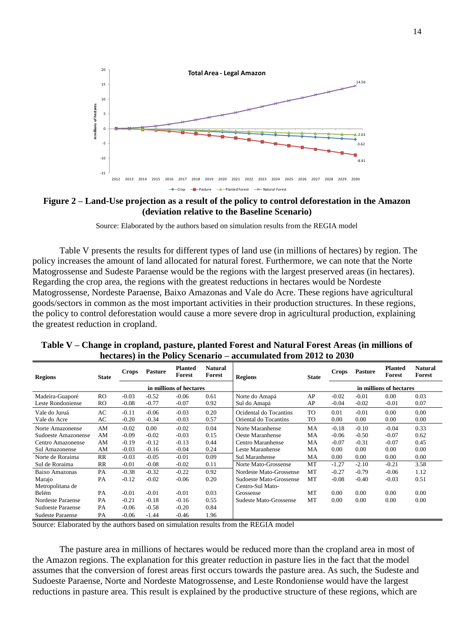

**Figure 2 – Land-Use projection as a result of the policy to control deforestation in the Amazon (deviation relative to the Baseline Scenario)**

Source: Elaborated by the authors based on simulation results from the REGIA model

Table V presents the results for different types of land use (in millions of hectares) by region. The policy increases the amount of land allocated for natural forest. Furthermore, we can note that the Norte Matogrossense and Sudeste Paraense would be the regions with the largest preserved areas (in hectares). Regarding the crop area, the regions with the greatest reductions in hectares would be Nordeste Matogrossense, Nordeste Paraense, Baixo Amazonas and Vale do Acre. These regions have agricultural goods/sectors in common as the most important activities in their production structures. In these regions, the policy to control deforestation would cause a more severe drop in agricultural production, explaining the greatest reduction in cropland.

| <b>Regions</b>           | <b>State</b>   | Crops   | <b>Pasture</b> | <b>Planted</b><br>Forest | <b>Natural</b><br>Forest | <b>Regions</b>          | <b>State</b> | <b>Crops</b> | <b>Pasture</b> | <b>Planted</b><br>Forest | <b>Natural</b><br><b>Forest</b> |
|--------------------------|----------------|---------|----------------|--------------------------|--------------------------|-------------------------|--------------|--------------|----------------|--------------------------|---------------------------------|
|                          |                |         |                | in millions of hectares  |                          |                         |              |              |                | in millions of hectares  |                                 |
| Madeira-Guaporé          | R <sub>O</sub> | $-0.03$ | $-0.52$        | $-0.06$                  | 0.61                     | Norte do Amapá          | AP           | $-0.02$      | $-0.01$        | 0.00                     | 0.03                            |
| Leste Rondoniense        | <sub>RO</sub>  | $-0.08$ | $-0.77$        | $-0.07$                  | 0.92                     | Sul do Amapá            | AP           | $-0.04$      | $-0.02$        | $-0.01$                  | 0.07                            |
| Vale do Juruá            | AC             | $-0.11$ | $-0.06$        | $-0.03$                  | 0.20                     | Ocidental do Tocantins  | <b>TO</b>    | 0.01         | $-0.01$        | 0.00                     | 0.00                            |
| Vale do Acre             | AC             | $-0.20$ | $-0.34$        | $-0.03$                  | 0.57                     | Oriental do Tocantins   | TO           | 0.00         | 0.00           | 0.00                     | 0.00                            |
| Norte Amazonense         | AM             | $-0.02$ | 0.00           | $-0.02$                  | 0.04                     | Norte Maranhense        | MA           | $-0.18$      | $-0.10$        | $-0.04$                  | 0.33                            |
| Sudoeste Amazonense      | AM             | $-0.09$ | $-0.02$        | $-0.03$                  | 0.15                     | Oeste Maranhense        | MA           | $-0.06$      | $-0.50$        | $-0.07$                  | 0.62                            |
| Centro Amazonense        | AM             | $-0.19$ | $-0.12$        | $-0.13$                  | 0.44                     | Centro Maranhense       | MA           | $-0.07$      | $-0.31$        | $-0.07$                  | 0.45                            |
| Sul Amazonense           | AM             | $-0.03$ | $-0.16$        | $-0.04$                  | 0.24                     | Leste Maranhense        | MA           | 0.00         | 0.00           | 0.00                     | 0.00                            |
| Norte de Roraima         | <b>RR</b>      | $-0.03$ | $-0.05$        | $-0.01$                  | 0.09                     | Sul Maranhense          | MA           | 0.00         | 0.00           | 0.00                     | 0.00                            |
| Sul de Roraima           | $_{RR}$        | $-0.01$ | $-0.08$        | $-0.02$                  | 0.11                     | Norte Mato-Grossense    | MT           | $-1.27$      | $-2.10$        | $-0.21$                  | 3.58                            |
| Baixo Amazonas           | <b>PA</b>      | $-0.38$ | $-0.32$        | $-0.22$                  | 0.92                     | Nordeste Mato-Grossense | <b>MT</b>    | $-0.27$      | $-0.79$        | $-0.06$                  | 1.12                            |
| Marajo                   | PA             | $-0.12$ | $-0.02$        | $-0.06$                  | 0.20                     | Sudoeste Mato-Grossense | MT           | $-0.08$      | $-0.40$        | $-0.03$                  | 0.51                            |
| Metropolitana de         |                |         |                |                          |                          | Centro-Sul Mato-        |              |              |                |                          |                                 |
| Belém                    | <b>PA</b>      | $-0.01$ | $-0.01$        | $-0.01$                  | 0.03                     | Grossense               | MT           | 0.00         | 0.00           | 0.00                     | 0.00                            |
| Nordeste Paraense        | <b>PA</b>      | $-0.21$ | $-0.18$        | $-0.16$                  | 0.55                     | Sudeste Mato-Grossense  | MT           | 0.00         | 0.00           | 0.00                     | 0.00                            |
| <b>Sudoeste Paraense</b> | PA             | $-0.06$ | $-0.58$        | $-0.20$                  | 0.84                     |                         |              |              |                |                          |                                 |
| <b>Sudeste Paraense</b>  | PA             | $-0.06$ | $-1.44$        | $-0.46$                  | 1.96                     |                         |              |              |                |                          |                                 |

**Table V – Change in cropland, pasture, planted Forest and Natural Forest Areas (in millions of hectares) in the Policy Scenario – accumulated from 2012 to 2030**

Source: Elaborated by the authors based on simulation results from the REGIA model

The pasture area in millions of hectares would be reduced more than the cropland area in most of the Amazon regions. The explanation for this greater reduction in pasture lies in the fact that the model assumes that the conversion of forest areas first occurs towards the pasture area. As such, the Sudeste and Sudoeste Paraense, Norte and Nordeste Matogrossense, and Leste Rondoniense would have the largest reductions in pasture area. This result is explained by the productive structure of these regions, which are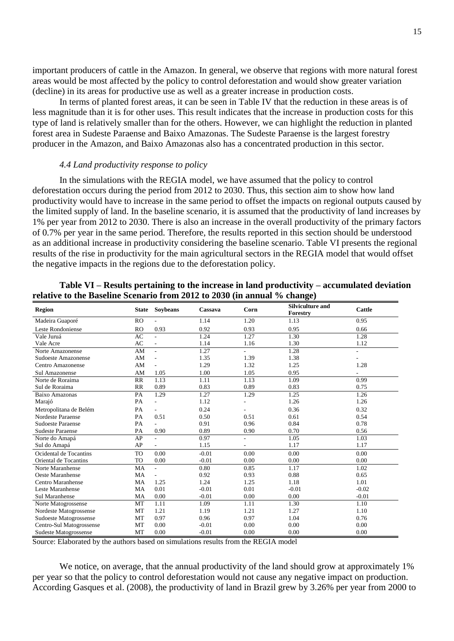important producers of cattle in the Amazon. In general, we observe that regions with more natural forest areas would be most affected by the policy to control deforestation and would show greater variation (decline) in its areas for productive use as well as a greater increase in production costs.

In terms of planted forest areas, it can be seen in Table IV that the reduction in these areas is of less magnitude than it is for other uses. This result indicates that the increase in production costs for this type of land is relatively smaller than for the others. However, we can highlight the reduction in planted forest area in Sudeste Paraense and Baixo Amazonas. The Sudeste Paraense is the largest forestry producer in the Amazon, and Baixo Amazonas also has a concentrated production in this sector.

## *4.4 Land productivity response to policy*

In the simulations with the REGIA model, we have assumed that the policy to control deforestation occurs during the period from 2012 to 2030. Thus, this section aim to show how land productivity would have to increase in the same period to offset the impacts on regional outputs caused by the limited supply of land. In the baseline scenario, it is assumed that the productivity of land increases by 1% per year from 2012 to 2030. There is also an increase in the overall productivity of the primary factors of 0.7% per year in the same period. Therefore, the results reported in this section should be understood as an additional increase in productivity considering the baseline scenario. Table VI presents the regional results of the rise in productivity for the main agricultural sectors in the REGIA model that would offset the negative impacts in the regions due to the deforestation policy.

| <b>Region</b>            | <b>State</b> | <b>Soybeans</b> | Cassava | Corn | <b>Silviculture and</b><br>Forestry | Cattle  |
|--------------------------|--------------|-----------------|---------|------|-------------------------------------|---------|
| Madeira Guaporé          | <b>RO</b>    |                 | 1.14    | 1.20 | 1.13                                | 0.95    |
| Leste Rondoniense        | <b>RO</b>    | 0.93            | 0.92    | 0.93 | 0.95                                | 0.66    |
| Vale Juruá               | AC           | $\overline{a}$  | 1.24    | 1.27 | 1.30                                | 1.28    |
| Vale Acre                | AC           | ٠               | 1.14    | 1.16 | 1.30                                | 1.12    |
| Norte Amazonense         | AM           |                 | 1.27    |      | 1.28                                | ÷,      |
| Sudoeste Amazonense      | AM           |                 | 1.35    | 1.39 | 1.38                                |         |
| Centro Amazonense        | AM           |                 | 1.29    | 1.32 | 1.25                                | 1.28    |
| Sul Amazonense           | AM           | 1.05            | 1.00    | 1.05 | 0.95                                | ٠       |
| Norte de Roraima         | <b>RR</b>    | 1.13            | 1.11    | 1.13 | 1.09                                | 0.99    |
| Sul de Roraima           | RR           | 0.89            | 0.83    | 0.89 | 0.83                                | 0.75    |
| Baixo Amazonas           | PA           | 1.29            | 1.27    | 1.29 | 1.25                                | 1.26    |
| Marajó                   | PA           |                 | 1.12    |      | 1.26                                | 1.26    |
| Metropolitana de Belém   | PA           | $\overline{a}$  | 0.24    |      | 0.36                                | 0.32    |
| Nordeste Paraense        | PA           | 0.51            | 0.50    | 0.51 | 0.61                                | 0.54    |
| <b>Sudoeste Paraense</b> | PA           |                 | 0.91    | 0.96 | 0.84                                | 0.78    |
| <b>Sudeste Paraense</b>  | PA           | 0.90            | 0.89    | 0.90 | 0.70                                | 0.56    |
| Norte do Amapá           | AP           | $\overline{a}$  | 0.97    |      | 1.05                                | 1.03    |
| Sul do Amapá             | AP           |                 | 1.15    |      | 1.17                                | 1.17    |
| Ocidental de Tocantins   | <b>TO</b>    | 0.00            | $-0.01$ | 0.00 | 0.00                                | 0.00    |
| Oriental de Tocantins    | <b>TO</b>    | 0.00            | $-0.01$ | 0.00 | 0.00                                | 0.00    |
| Norte Maranhense         | MA           |                 | 0.80    | 0.85 | 1.17                                | 1.02    |
| Oeste Maranhense         | <b>MA</b>    |                 | 0.92    | 0.93 | 0.88                                | 0.65    |
| Centro Maranhense        | MA           | 1.25            | 1.24    | 1.25 | 1.18                                | 1.01    |
| Leste Maranhense         | MA           | 0.01            | $-0.01$ | 0.01 | $-0.01$                             | $-0.02$ |
| <b>Sul Maranhense</b>    | MA           | 0.00            | $-0.01$ | 0.00 | 0.00                                | $-0.01$ |
| Norte Matogrossense      | MT           | 1.11            | 1.09    | 1.11 | 1.30                                | 1.10    |
| Nordeste Matogrossense   | MT           | 1.21            | 1.19    | 1.21 | 1.27                                | 1.10    |
| Sudoeste Matogrossense   | MT           | 0.97            | 0.96    | 0.97 | 1.04                                | 0.76    |
| Centro-Sul Matogrossense | MT           | 0.00            | $-0.01$ | 0.00 | 0.00                                | 0.00    |
| Sudeste Matogrossense    | MT           | 0.00            | $-0.01$ | 0.00 | 0.00                                | 0.00    |

## **Table VI – Results pertaining to the increase in land productivity – accumulated deviation relative to the Baseline Scenario from 2012 to 2030 (in annual % change)**

Source: Elaborated by the authors based on simulations results from the REGIA model

We notice, on average, that the annual productivity of the land should grow at approximately 1% per year so that the policy to control deforestation would not cause any negative impact on production. According Gasques et al. (2008), the productivity of land in Brazil grew by 3.26% per year from 2000 to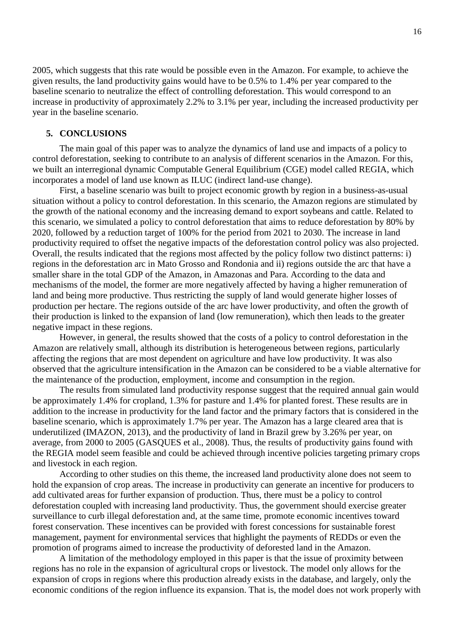2005, which suggests that this rate would be possible even in the Amazon. For example, to achieve the given results, the land productivity gains would have to be 0.5% to 1.4% per year compared to the baseline scenario to neutralize the effect of controlling deforestation. This would correspond to an increase in productivity of approximately 2.2% to 3.1% per year, including the increased productivity per year in the baseline scenario.

## **5. CONCLUSIONS**

The main goal of this paper was to analyze the dynamics of land use and impacts of a policy to control deforestation, seeking to contribute to an analysis of different scenarios in the Amazon. For this, we built an interregional dynamic Computable General Equilibrium (CGE) model called REGIA, which incorporates a model of land use known as ILUC (indirect land-use change).

First, a baseline scenario was built to project economic growth by region in a business-as-usual situation without a policy to control deforestation. In this scenario, the Amazon regions are stimulated by the growth of the national economy and the increasing demand to export soybeans and cattle. Related to this scenario, we simulated a policy to control deforestation that aims to reduce deforestation by 80% by 2020, followed by a reduction target of 100% for the period from 2021 to 2030. The increase in land productivity required to offset the negative impacts of the deforestation control policy was also projected. Overall, the results indicated that the regions most affected by the policy follow two distinct patterns: i) regions in the deforestation arc in Mato Grosso and Rondonia and ii) regions outside the arc that have a smaller share in the total GDP of the Amazon, in Amazonas and Para. According to the data and mechanisms of the model, the former are more negatively affected by having a higher remuneration of land and being more productive. Thus restricting the supply of land would generate higher losses of production per hectare. The regions outside of the arc have lower productivity, and often the growth of their production is linked to the expansion of land (low remuneration), which then leads to the greater negative impact in these regions.

However, in general, the results showed that the costs of a policy to control deforestation in the Amazon are relatively small, although its distribution is heterogeneous between regions, particularly affecting the regions that are most dependent on agriculture and have low productivity. It was also observed that the agriculture intensification in the Amazon can be considered to be a viable alternative for the maintenance of the production, employment, income and consumption in the region.

The results from simulated land productivity response suggest that the required annual gain would be approximately 1.4% for cropland, 1.3% for pasture and 1.4% for planted forest. These results are in addition to the increase in productivity for the land factor and the primary factors that is considered in the baseline scenario, which is approximately 1.7% per year. The Amazon has a large cleared area that is underutilized (IMAZON, 2013), and the productivity of land in Brazil grew by 3.26% per year, on average, from 2000 to 2005 (GASQUES et al., 2008). Thus, the results of productivity gains found with the REGIA model seem feasible and could be achieved through incentive policies targeting primary crops and livestock in each region.

According to other studies on this theme, the increased land productivity alone does not seem to hold the expansion of crop areas. The increase in productivity can generate an incentive for producers to add cultivated areas for further expansion of production. Thus, there must be a policy to control deforestation coupled with increasing land productivity. Thus, the government should exercise greater surveillance to curb illegal deforestation and, at the same time, promote economic incentives toward forest conservation. These incentives can be provided with forest concessions for sustainable forest management, payment for environmental services that highlight the payments of REDDs or even the promotion of programs aimed to increase the productivity of deforested land in the Amazon.

A limitation of the methodology employed in this paper is that the issue of proximity between regions has no role in the expansion of agricultural crops or livestock. The model only allows for the expansion of crops in regions where this production already exists in the database, and largely, only the economic conditions of the region influence its expansion. That is, the model does not work properly with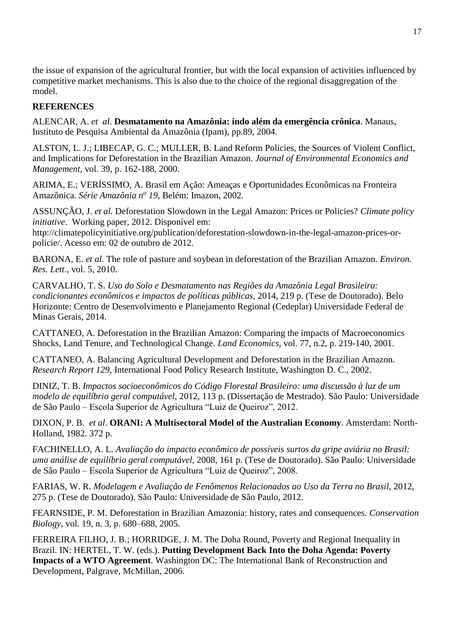the issue of expansion of the agricultural frontier, but with the local expansion of activities influenced by competitive market mechanisms. This is also due to the choice of the regional disaggregation of the model.

# **REFERENCES**

ALENCAR, A. *et al*. **Desmatamento na Amazônia: indo além da emergência crônica**. Manaus, Instituto de Pesquisa Ambiental da Amazônia (Ipam), pp.89, 2004.

ALSTON, L. J.; LIBECAP, G. C.; MULLER, B. Land Reform Policies, the Sources of Violent Conflict, and Implications for Deforestation in the Brazilian Amazon. *Journal of Environmental Economics and Management*, vol. 39, p. 162-188, 2000.

ARIMA, E.; VERÍSSIMO, A. Brasil em Ação: Ameaças e Oportunidades Econômicas na Fronteira Amazônica. *Série Amazônia n<sup>o</sup> 19*, Belém: Imazon, 2002.

ASSUNÇÃO, J. *et al.* Deforestation Slowdown in the Legal Amazon: Prices or Policies? *Climate policy initiative*. Working paper, 2012. Disponível em:

http://climatepolicyinitiative.org/publication/deforestation-slowdown-in-the-legal-amazon-prices-orpolicie/. Acesso em: 02 de outubro de 2012.

BARONA, E. *et al.* The role of pasture and soybean in deforestation of the Brazilian Amazon. *Environ. Res. Lett*., vol. 5, 2010.

CARVALHO, T. S. *Uso do Solo e Desmatamento nas Regiões da Amazônia Legal Brasileira: condicionantes econômicos e impactos de políticas públicas*, 2014, 219 p. (Tese de Doutorado). Belo Horizonte: Centro de Desenvolvimento e Planejamento Regional (Cedeplar) Universidade Federal de Minas Gerais, 2014.

CATTANEO, A. Deforestation in the Brazilian Amazon: Comparing the impacts of Macroeconomics Shocks, Land Tenure, and Technological Change. *Land Economics*, vol. 77, n.2, p. 219-140, 2001.

CATTANEO, A. Balancing Agricultural Development and Deforestation in the Brazilian Amazon. *Research Report 129*, International Food Policy Research Institute, Washington D. C., 2002.

DINIZ, T. B. *Impactos socioeconômicos do Código Florestal Brasileiro: uma discussão à luz de um modelo de equilíbrio geral computável*, 2012, 113 p. (Dissertação de Mestrado). São Paulo: Universidade de São Paulo – Escola Superior de Agricultura "Luiz de Queiroz", 2012.

DIXON, P. B. *et al*. **ORANI: A Multisectoral Model of the Australian Economy**. Amsterdam: North-Holland, 1982. 372 p.

FACHINELLO, A. L. *Avaliação do impacto econômico de possíveis surtos da gripe aviária no Brasil: uma análise de equilíbrio geral computável*, 2008, 161 p. (Tese de Doutorado). São Paulo: Universidade de São Paulo – Escola Superior de Agricultura "Luiz de Queiroz", 2008.

FARIAS, W. R. *Modelagem e Avaliação de Fenômenos Relacionados ao Uso da Terra no Brasil*, 2012, 275 p. (Tese de Doutorado). São Paulo: Universidade de São Paulo, 2012.

FEARNSIDE, P. M. Deforestation in Brazilian Amazonia: history, rates and consequences. *Conservation Biology*, vol. 19, n. 3, p. 680–688, 2005.

FERREIRA FILHO, J. B.; HORRIDGE, J. M. The Doha Round, Poverty and Regional Inequality in Brazil. IN: HERTEL, T. W. (eds.). **Putting Development Back Into the Doha Agenda: Poverty Impacts of a WTO Agreement**. Washington DC: The International Bank of Reconstruction and Development, Palgrave, McMillan, 2006.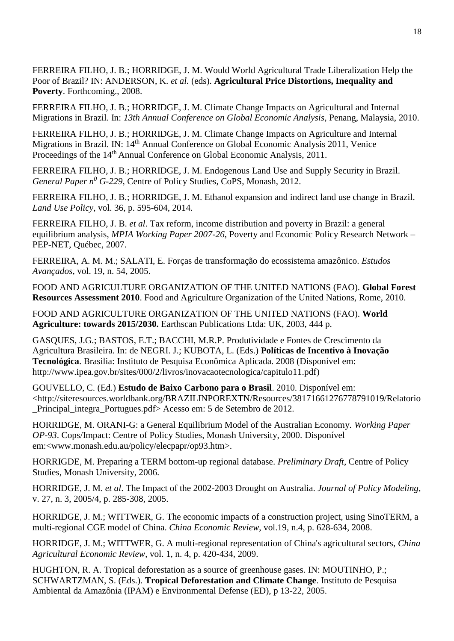FERREIRA FILHO, J. B.; HORRIDGE, J. M. Would World Agricultural Trade Liberalization Help the Poor of Brazil? IN: ANDERSON, K. *et al.* (eds). **Agricultural Price Distortions, Inequality and Poverty**. Forthcoming., 2008.

FERREIRA FILHO, J. B.; HORRIDGE, J. M. Climate Change Impacts on Agricultural and Internal Migrations in Brazil. In: *13th Annual Conference on Global Economic Analysis*, Penang, Malaysia, 2010.

FERREIRA FILHO, J. B.; HORRIDGE, J. M. Climate Change Impacts on Agriculture and Internal Migrations in Brazil. IN: 14<sup>th</sup> Annual Conference on Global Economic Analysis 2011, Venice Proceedings of the 14<sup>th</sup> Annual Conference on Global Economic Analysis, 2011.

FERREIRA FILHO, J. B.; HORRIDGE, J. M. Endogenous Land Use and Supply Security in Brazil. *General Paper n<sup>0</sup> G-229*, Centre of Policy Studies, CoPS, Monash, 2012.

FERREIRA FILHO, J. B.; HORRIDGE, J. M. Ethanol expansion and indirect land use change in Brazil. *Land Use Policy*, vol. 36, p. 595-604, 2014.

FERREIRA FILHO, J. B. *et al*. Tax reform, income distribution and poverty in Brazil: a general equilibrium analysis, *MPIA Working Paper 2007-26*, Poverty and Economic Policy Research Network – PEP-NET, Québec, 2007.

FERREIRA, A. M. M.; SALATI, E. Forças de transformação do ecossistema amazônico. *Estudos Avançados*, vol. 19, n. 54, 2005.

FOOD AND AGRICULTURE ORGANIZATION OF THE UNITED NATIONS (FAO). **Global Forest Resources Assessment 2010**. Food and Agriculture Organization of the United Nations, Rome, 2010.

FOOD AND AGRICULTURE ORGANIZATION OF THE UNITED NATIONS (FAO). **World Agriculture: towards 2015/2030.** Earthscan Publications Ltda: UK, 2003, 444 p.

GASQUES, J.G.; BASTOS, E.T.; BACCHI, M.R.P. Produtividade e Fontes de Crescimento da Agricultura Brasileira. In: de NEGRI. J.; KUBOTA, L. (Eds.) **Políticas de Incentivo à Inovação Tecnológica**. Brasilia: Instituto de Pesquisa Econômica Aplicada. 2008 (Disponível em: http://www.ipea.gov.br/sites/000/2/livros/inovacaotecnologica/capitulo11.pdf)

GOUVELLO, C. (Ed.) **Estudo de Baixo Carbono para o Brasil**. 2010. Disponível em: <http://siteresources.worldbank.org/BRAZILINPOREXTN/Resources/38171661276778791019/Relatorio \_Principal\_integra\_Portugues.pdf> Acesso em: 5 de Setembro de 2012.

HORRIDGE, M. ORANI-G: a General Equilibrium Model of the Australian Economy. *Working Paper OP-93*. Cops/Impact: Centre of Policy Studies, Monash University, 2000. Disponível em:<www.monash.edu.au/policy/elecpapr/op93.htm>.

HORRIGDE, M. Preparing a TERM bottom-up regional database. *Preliminary Draft*, Centre of Policy Studies, Monash University, 2006.

HORRIDGE, J. M. *et al*. The Impact of the 2002-2003 Drought on Australia. *Journal of Policy Modeling*, v. 27, n. 3, 2005/4, p. 285-308, 2005.

HORRIDGE, J. M.; WITTWER, G. The economic impacts of a construction project, using SinoTERM, a multi-regional CGE model of China. *China Economic Review*, vol.19, n.4, p. 628-634, 2008.

HORRIDGE, J. M.; WITTWER, G. A multi-regional representation of China's agricultural sectors, *China Agricultural Economic Review*, vol. 1, n. 4, p. 420-434, 2009.

HUGHTON, R. A. Tropical deforestation as a source of greenhouse gases. IN: MOUTINHO, P.; SCHWARTZMAN, S. (Eds.). **Tropical Deforestation and Climate Change**. Instituto de Pesquisa Ambiental da Amazônia (IPAM) e Environmental Defense (ED), p 13-22, 2005.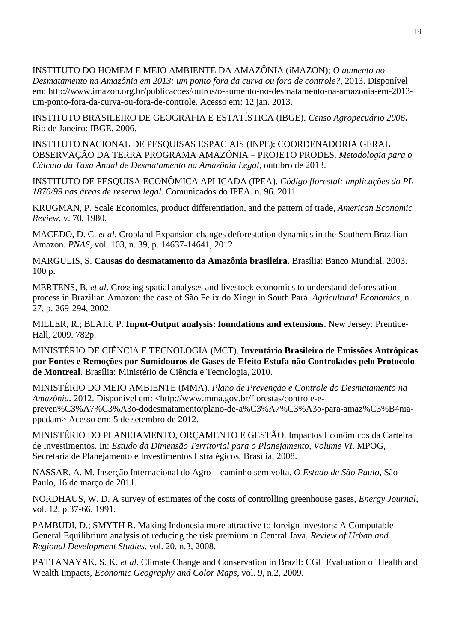INSTITUTO DO HOMEM E MEIO AMBIENTE DA AMAZÔNIA (iMAZON); *O aumento no* 

*Desmatamento na Amazônia em 2013: um ponto fora da curva ou fora de controle?,* 2013. Disponível em: http://www.imazon.org.br/publicacoes/outros/o-aumento-no-desmatamento-na-amazonia-em-2013 um-ponto-fora-da-curva-ou-fora-de-controle. Acesso em: 12 jan. 2013.

INSTITUTO BRASILEIRO DE GEOGRAFIA E ESTATÍSTICA (IBGE). *Censo Agropecuário 2006***.** Rio de Janeiro: IBGE, 2006.

INSTITUTO NACIONAL DE PESQUISAS ESPACIAIS (INPE); COORDENADORIA GERAL OBSERVAÇÃO DA TERRA PROGRAMA AMAZÔNIA – PROJETO PRODES. *Metodologia para o Cálculo da Taxa Anual de Desmatamento na Amazônia Legal*, outubro de 2013.

INSTITUTO DE PESQUISA ECONÔMICA APLICADA (IPEA). *Código florestal: implicações do PL 1876/99 nas áreas de reserva legal.* Comunicados do IPEA. n. 96. 2011.

KRUGMAN, P. Scale Economics, product differentiation, and the pattern of trade*, American Economic Review*, v. 70, 1980.

MACEDO, D. C. *et al*. Cropland Expansion changes deforestation dynamics in the Southern Brazilian Amazon. *PNAS*, vol. 103, n. 39, p. 14637-14641, 2012.

MARGULIS, S. **Causas do desmatamento da Amazônia brasileira**. Brasília: Banco Mundial, 2003. 100 p.

MERTENS, B. *et al*. Crossing spatial analyses and livestock economics to understand deforestation process in Brazilian Amazon: the case of São Felix do Xingu in South Pará. *Agricultural Economics*, n. 27, p. 269-294, 2002.

MILLER, R.; BLAIR, P. **Input-Output analysis: foundations and extensions**. New Jersey: Prentice-Hall, 2009. 782p.

MINISTÉRIO DE CIÊNCIA E TECNOLOGIA (MCT). **Inventário Brasileiro de Emissões Antrópicas por Fontes e Remoções por Sumidouros de Gases de Efeito Estufa não Controlados pelo Protocolo de Montreal**. Brasília: Ministério de Ciência e Tecnologia, 2010.

MINISTÉRIO DO MEIO AMBIENTE (MMA). *Plano de Prevenção e Controle do Desmatamento na Amazônia***.** 2012. Disponível em: <http://www.mma.gov.br/florestas/controle-epreven%C3%A7%C3%A3o-dodesmatamento/plano-de-a%C3%A7%C3%A3o-para-amaz%C3%B4niappcdam> Acesso em: 5 de setembro de 2012.

MINISTÉRIO DO PLANEJAMENTO, ORÇAMENTO E GESTÃO. Impactos Econômicos da Carteira de Investimentos. In: *Estudo da Dimensão Territorial para o Planejamento, Volume VI*. MPOG, Secretaria de Planejamento e Investimentos Estratégicos, Brasília, 2008.

NASSAR, A. M. Inserção Internacional do Agro – caminho sem volta. *O Estado de São Paulo*, São Paulo, 16 de março de 2011.

NORDHAUS, W. D. A survey of estimates of the costs of controlling greenhouse gases, *Energy Journal*, vol. 12, p.37-66, 1991.

PAMBUDI, D.; SMYTH R. Making Indonesia more attractive to foreign investors: A Computable General Equilibrium analysis of reducing the risk premium in Central Java. *Review of Urban and Regional Development Studies*, vol. 20, n.3, 2008.

PATTANAYAK, S. K. *et al*. Climate Change and Conservation in Brazil: CGE Evaluation of Health and Wealth Impacts, *Economic Geography and Color Maps*, vol. 9, n.2, 2009.